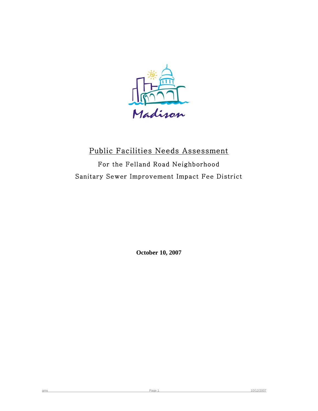

## Public Facilities Needs Assessment For the Felland Road Neighborhood

Sanitary Sewer Improvement Impact Fee District

**October 10, 2007**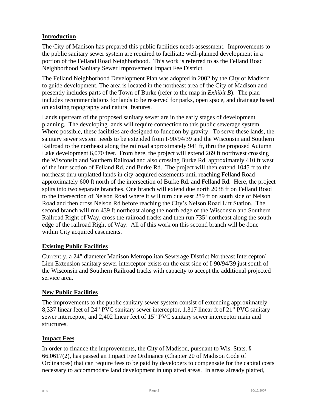### **Introduction**

The City of Madison has prepared this public facilities needs assessment. Improvements to the public sanitary sewer system are required to facilitate well-planned development in a portion of the Felland Road Neighborhood. This work is referred to as the Felland Road Neighborhood Sanitary Sewer Improvement Impact Fee District.

The Felland Neighborhood Development Plan was adopted in 2002 by the City of Madison to guide development. The area is located in the northeast area of the City of Madison and presently includes parts of the Town of Burke (refer to the map in *Exhibit B*). The plan includes recommendations for lands to be reserved for parks, open space, and drainage based on existing topography and natural features.

Lands upstream of the proposed sanitary sewer are in the early stages of development planning. The developing lands will require connection to this public sewerage system. Where possible, these facilities are designed to function by gravity. To serve these lands, the sanitary sewer system needs to be extended from I-90/94/39 and the Wisconsin and Southern Railroad to the northeast along the railroad approximately 941 ft, thru the proposed Autumn Lake development 6,070 feet. From here, the project will extend 269 ft northwest crossing the Wisconsin and Southern Railroad and also crossing Burke Rd. approximately 410 ft west of the intersection of Felland Rd. and Burke Rd. The project will then extend 1045 ft to the northeast thru unplatted lands in city-acquired easements until reaching Felland Road approximately 600 ft north of the intersection of Burke Rd. and Felland Rd. Here, the project splits into two separate branches. One branch will extend due north 2038 ft on Felland Road to the intersection of Nelson Road where it will turn due east 289 ft on south side of Nelson Road and then cross Nelson Rd before reaching the City's Nelson Road Lift Station. The second branch will run 439 ft northeast along the north edge of the Wisconsin and Southern Railroad Right of Way, cross the railroad tracks and then run 735' northeast along the south edge of the railroad Right of Way. All of this work on this second branch will be done within City acquired easements.

### **Existing Public Facilities**

Currently, a 24" diameter Madison Metropolitan Sewerage District Northeast Interceptor/ Lien Extension sanitary sewer interceptor exists on the east side of I-90/94/39 just south of the Wisconsin and Southern Railroad tracks with capacity to accept the additional projected service area.

### **New Public Facilities**

The improvements to the public sanitary sewer system consist of extending approximately 8,337 linear feet of 24" PVC sanitary sewer interceptor, 1,317 linear ft of 21" PVC sanitary sewer interceptor, and 2,402 linear feet of 15" PVC sanitary sewer interceptor main and structures.

### **Impact Fees**

In order to finance the improvements, the City of Madison, pursuant to Wis. Stats. § 66.0617(2), has passed an Impact Fee Ordinance (Chapter 20 of Madison Code of Ordinances) that can require fees to be paid by developers to compensate for the capital costs necessary to accommodate land development in unplatted areas. In areas already platted,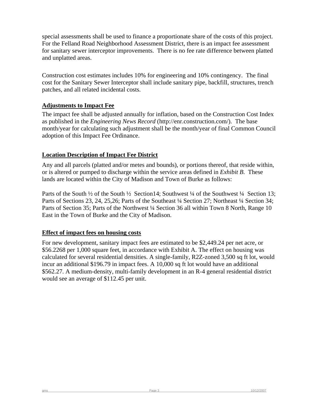special assessments shall be used to finance a proportionate share of the costs of this project. For the Felland Road Neighborhood Assessment District, there is an impact fee assessment for sanitary sewer interceptor improvements. There is no fee rate difference between platted and unplatted areas.

Construction cost estimates includes 10% for engineering and 10% contingency. The final cost for the Sanitary Sewer Interceptor shall include sanitary pipe, backfill, structures, trench patches, and all related incidental costs.

### **Adjustments to Impact Fee**

The impact fee shall be adjusted annually for inflation, based on the Construction Cost Index as published in the *Engineering News Record* (http://enr.construction.com/). The base month/year for calculating such adjustment shall be the month/year of final Common Council adoption of this Impact Fee Ordinance.

#### **Location Description of Impact Fee District**

Any and all parcels (platted and/or metes and bounds), or portions thereof, that reside within, or is altered or pumped to discharge within the service areas defined in *Exhibit B*. These lands are located within the City of Madison and Town of Burke as follows:

Parts of the South <sup>1</sup>/<sub>2</sub> of the South <sup>1</sup>/<sub>2</sub> Section 14; Southwest <sup>1</sup>/<sub>4</sub> of the Southwest <sup>1</sup>/<sub>4</sub> Section 13; Parts of Sections 23, 24, 25, 26; Parts of the Southeast <sup>1</sup>/<sub>4</sub> Section 27; Northeast <sup>1</sup>/<sub>4</sub> Section 34; Parts of Section 35; Parts of the Northwest ¼ Section 36 all within Town 8 North, Range 10 East in the Town of Burke and the City of Madison.

#### **Effect of impact fees on housing costs**

For new development, sanitary impact fees are estimated to be \$2,449.24 per net acre, or \$56.2268 per 1,000 square feet, in accordance with Exhibit A. The effect on housing was calculated for several residential densities. A single-family, R2Z-zoned 3,500 sq ft lot, would incur an additional \$196.79 in impact fees. A 10,000 sq ft lot would have an additional \$562.27. A medium-density, multi-family development in an R-4 general residential district would see an average of \$112.45 per unit.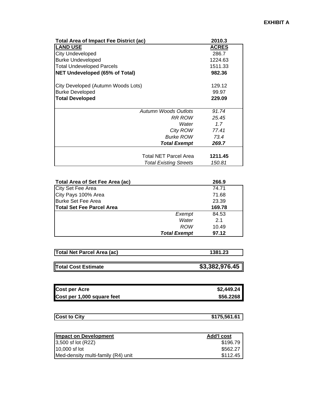| <b>Total Area of Impact Fee District (ac)</b> | 2010.3       |
|-----------------------------------------------|--------------|
| <b>LAND USE</b>                               | <b>ACRES</b> |
| <b>City Undeveloped</b>                       | 286.7        |
| <b>Burke Undeveloped</b>                      | 1224.63      |
| <b>Total Undeveloped Parcels</b>              | 1511.33      |
| <b>NET Undeveloped (65% of Total)</b>         | 982.36       |
|                                               |              |
| City Developed (Autumn Woods Lots)            | 129.12       |
| <b>Burke Developed</b>                        | 99.97        |
| <b>Total Developed</b>                        | 229.09       |
| Autumn Woods Outlots                          | 91.74        |
| RR ROW                                        | 25.45        |
| Water                                         | 1.7          |
| City ROW                                      | 77.41        |
| <b>Burke ROW</b>                              | 73.4         |
| <b>Total Exempt</b>                           | 269.7        |
|                                               |              |
| Total NET Parcel Area                         | 1211.45      |
| <b>Total Existing Streets</b>                 | 150.81       |

| Total Area of Set Fee Area (ac)  |                     | 266.9  |
|----------------------------------|---------------------|--------|
| City Set Fee Area                |                     | 74.71  |
| City Pays 100% Area              |                     | 71.68  |
| <b>Burke Set Fee Area</b>        |                     | 23.39  |
| <b>Total Set Fee Parcel Area</b> |                     | 169.78 |
|                                  | Exempt              | 84.53  |
|                                  | Water               | 2.1    |
|                                  | ROW                 | 10.49  |
|                                  | <b>Total Exempt</b> | 97.12  |

| <b>Total Net Parcel Area (ac)</b> | 1381.23        |
|-----------------------------------|----------------|
| Total Cost Estimate               | \$3,382,976.45 |
|                                   |                |

| <b>Cost per Acre</b>       | \$2,449.24 |
|----------------------------|------------|
| Cost per 1,000 square feet | \$56.2268  |

| -11 | <b>Cost to City</b> | 75,561.6<br>$\mathbf{A}$ |
|-----|---------------------|--------------------------|
|-----|---------------------|--------------------------|

| Impact on Development              | <b>Add'I cost</b> |
|------------------------------------|-------------------|
| $ 3,500 \text{ sf}$ lot $(R2Z)$    | \$196.79          |
| $10,000$ sf lot                    | \$562.27          |
| Med-density multi-family (R4) unit | \$112.45          |